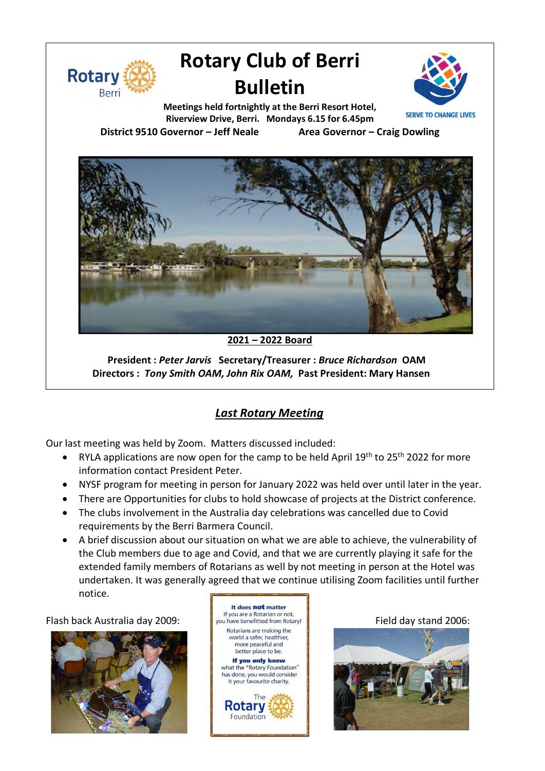

# **Rotary Club of Berri Bulletin**



**Meetings held fortnightly at the Berri Resort Hotel, Riverview Drive, Berri. Mondays 6.15 for 6.45pm District 9510 Governor – Jeff Neale Area Governor – Craig Dowling**



**2021 – 2022 Board**

**President :** *Peter Jarvis* **Secretary/Treasurer :** *Bruce Richardson* **OAM Directors :** *Tony Smith OAM, John Rix OAM,* **Past President: Mary Hansen**

# *Last Rotary Meeting*

Our last meeting was held by Zoom. Matters discussed included:

- RYLA applications are now open for the camp to be held April  $19<sup>th</sup>$  to 25<sup>th</sup> 2022 for more information contact President Peter.
- NYSF program for meeting in person for January 2022 was held over until later in the year.
- There are Opportunities for clubs to hold showcase of projects at the District conference.
- The clubs involvement in the Australia day celebrations was cancelled due to Covid requirements by the Berri Barmera Council.
- A brief discussion about our situation on what we are able to achieve, the vulnerability of the Club members due to age and Covid, and that we are currently playing it safe for the extended family members of Rotarians as well by not meeting in person at the Hotel was undertaken. It was generally agreed that we continue utilising Zoom facilities until further notice.



It does not matter world a safer, healthier, more peaceful and better place to be. If you only knew what the "Rotary Foundation" has done, you would consider it your favourite charity. **Rotary** Foundation